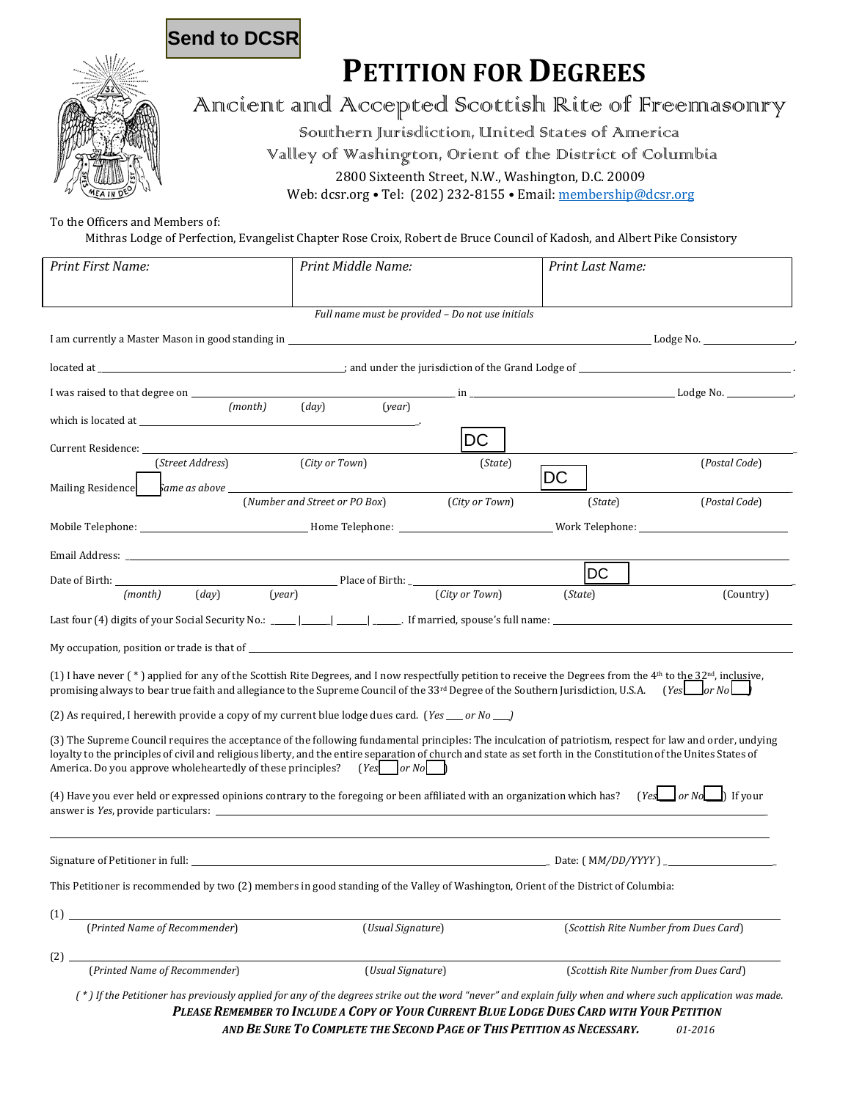### **Send to DCSR**

# **PETITION FOR DEGREES**



## Ancient and Accepted Scottish Rite of Freemasonry

Southern Jurisdiction, United States of America

Valley of Washington, Orient of the District of Columbia 2800 Sixteenth Street, N.W., Washington, D.C. 20009

Web: dcsr.org • Tel: (202) 232-8155 • Email: membership@dcsr.org

To the Officers and Members of:

Mithras Lodge of Perfection, Evangelist Chapter Rose Croix, Robert de Bruce Council of Kadosh, and Albert Pike Consistory

| Print First Name:                                                                                                                                                                                                                                                                                                                                                                                                                  | Print Middle Name:                      |                | Print Last Name:                      |                                                                                                                                                                                                                                                                                               |
|------------------------------------------------------------------------------------------------------------------------------------------------------------------------------------------------------------------------------------------------------------------------------------------------------------------------------------------------------------------------------------------------------------------------------------|-----------------------------------------|----------------|---------------------------------------|-----------------------------------------------------------------------------------------------------------------------------------------------------------------------------------------------------------------------------------------------------------------------------------------------|
|                                                                                                                                                                                                                                                                                                                                                                                                                                    |                                         |                |                                       |                                                                                                                                                                                                                                                                                               |
| Full name must be provided - Do not use initials                                                                                                                                                                                                                                                                                                                                                                                   |                                         |                |                                       |                                                                                                                                                                                                                                                                                               |
|                                                                                                                                                                                                                                                                                                                                                                                                                                    |                                         |                |                                       |                                                                                                                                                                                                                                                                                               |
|                                                                                                                                                                                                                                                                                                                                                                                                                                    |                                         |                |                                       |                                                                                                                                                                                                                                                                                               |
|                                                                                                                                                                                                                                                                                                                                                                                                                                    |                                         |                |                                       | $\mathbf{a}$ in $\mathbf{a}$ in $\mathbf{a}$ is the set of $\mathbf{a}$ in $\mathbf{a}$ is the set of $\mathbf{a}$ is the set of $\mathbf{a}$ is $\mathbf{a}$ is $\mathbf{a}$ is $\mathbf{a}$ is $\mathbf{a}$ is $\mathbf{a}$ is $\mathbf{a}$ is $\mathbf{a}$ is $\mathbf{a}$ is $\mathbf{a}$ |
| (month)                                                                                                                                                                                                                                                                                                                                                                                                                            | $\left($ <i>day</i> $\right)$<br>(year) |                |                                       |                                                                                                                                                                                                                                                                                               |
| Current Residence:                                                                                                                                                                                                                                                                                                                                                                                                                 |                                         | DC             |                                       |                                                                                                                                                                                                                                                                                               |
| (Street Address)                                                                                                                                                                                                                                                                                                                                                                                                                   | (City or Town)                          | (State)        |                                       | (Postal Code)                                                                                                                                                                                                                                                                                 |
| $\frac{1}{2}$ ame as above $\frac{1}{2}$<br>Mailing Residence                                                                                                                                                                                                                                                                                                                                                                      |                                         |                | DC                                    |                                                                                                                                                                                                                                                                                               |
|                                                                                                                                                                                                                                                                                                                                                                                                                                    | (Number and Street or PO Box)           | (City or Town) | (State)                               | (Postal Code)                                                                                                                                                                                                                                                                                 |
|                                                                                                                                                                                                                                                                                                                                                                                                                                    |                                         |                |                                       |                                                                                                                                                                                                                                                                                               |
|                                                                                                                                                                                                                                                                                                                                                                                                                                    |                                         |                |                                       |                                                                                                                                                                                                                                                                                               |
|                                                                                                                                                                                                                                                                                                                                                                                                                                    | Place of Birth:                         |                | <b>DC</b>                             |                                                                                                                                                                                                                                                                                               |
| (year)<br>$\left(\frac{day}{} \right)$<br>(month)                                                                                                                                                                                                                                                                                                                                                                                  |                                         | (City or Town) | (State)                               | (Country)                                                                                                                                                                                                                                                                                     |
|                                                                                                                                                                                                                                                                                                                                                                                                                                    |                                         |                |                                       |                                                                                                                                                                                                                                                                                               |
|                                                                                                                                                                                                                                                                                                                                                                                                                                    |                                         |                |                                       |                                                                                                                                                                                                                                                                                               |
| (1) I have never (*) applied for any of the Scottish Rite Degrees, and I now respectfully petition to receive the Degrees from the 4 <sup>th</sup> to th <u>e 32<sup>nd</sup>, inclusi</u> ve,<br>promising always to bear true faith and allegiance to the Supreme Council of the 33 <sup>rd</sup> Degree of the Southern Jurisdiction, U.S.A. (Yes or No)                                                                        |                                         |                |                                       |                                                                                                                                                                                                                                                                                               |
| (2) As required, I herewith provide a copy of my current blue lodge dues card. (Yes __ or No __)                                                                                                                                                                                                                                                                                                                                   |                                         |                |                                       |                                                                                                                                                                                                                                                                                               |
| (3) The Supreme Council requires the acceptance of the following fundamental principles: The inculcation of patriotism, respect for law and order, undying<br>loyalty to the principles of civil and religious liberty, and the entire separation of church and state as set forth in the Constitution of the Unites States of<br>America. Do you approve wholeheartedly of these principles? (Yes $\lceil \log N \rceil$ or $N$ o |                                         |                |                                       |                                                                                                                                                                                                                                                                                               |
| $(Yes$ or $No$ If your<br>(4) Have you ever held or expressed opinions contrary to the foregoing or been affiliated with an organization which has?                                                                                                                                                                                                                                                                                |                                         |                |                                       |                                                                                                                                                                                                                                                                                               |
|                                                                                                                                                                                                                                                                                                                                                                                                                                    |                                         |                |                                       |                                                                                                                                                                                                                                                                                               |
| This Petitioner is recommended by two (2) members in good standing of the Valley of Washington, Orient of the District of Columbia:                                                                                                                                                                                                                                                                                                |                                         |                |                                       |                                                                                                                                                                                                                                                                                               |
| (1)<br>(Printed Name of Recommender)                                                                                                                                                                                                                                                                                                                                                                                               | (Usual Signature)                       |                | (Scottish Rite Number from Dues Card) |                                                                                                                                                                                                                                                                                               |
|                                                                                                                                                                                                                                                                                                                                                                                                                                    |                                         |                |                                       |                                                                                                                                                                                                                                                                                               |
| (2)<br>(Printed Name of Recommender)                                                                                                                                                                                                                                                                                                                                                                                               | (Usual Signature)                       |                | (Scottish Rite Number from Dues Card) |                                                                                                                                                                                                                                                                                               |
| (*) If the Petitioner has previously applied for any of the degrees strike out the word "never" and explain fully when and where such application was made.                                                                                                                                                                                                                                                                        |                                         |                |                                       |                                                                                                                                                                                                                                                                                               |

 *PLEASE REMEMBER TO INCLUDE A COPY OF YOUR CURRENT BLUE LODGE DUES CARD WITH YOUR PETITION AND BE SURE TO COMPLETE THE SECOND PAGE OF THIS PETITION AS NECESSARY. 01‐2016*